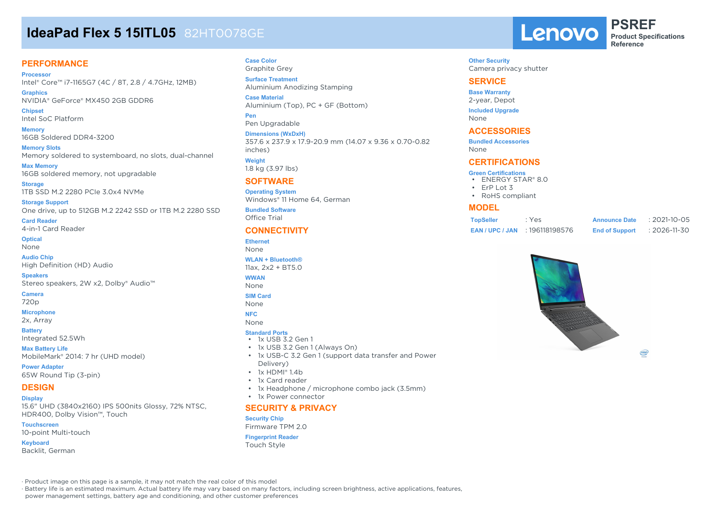# **IdeaPad Flex 5 15ITL05** 82HT0078GE

# **PERFORMANCE**

**Processor** Intel® Core™ i7-1165G7 (4C / 8T, 2.8 / 4.7GHz, 12MB)

**Graphics** NVIDIA® GeForce® MX450 2GB GDDR6

**Chipset** Intel SoC Platform

**Memory** 16GB Soldered DDR4-3200

**Memory Slots** Memory soldered to systemboard, no slots, dual-channel

**Max Memory** 16GB soldered memory, not upgradable

**Storage** 1TB SSD M.2 2280 PCIe 3.0x4 NVMe

**Storage Support** One drive, up to 512GB M.2 2242 SSD or 1TB M.2 2280 SSD

**Card Reader** 4-in-1 Card Reader

**Optical** None

**Audio Chip** High Definition (HD) Audio

**Speakers** Stereo speakers, 2W x2, Dolby® Audio™

**Camera** 720p

**Microphone**

2x, Array

**Battery** Integrated 52.5Wh

**Max Battery Life** MobileMark® 2014: 7 hr (UHD model)

**Power Adapter** 65W Round Tip (3-pin)

# **DESIGN**

**Display** 15.6" UHD (3840x2160) IPS 500nits Glossy, 72% NTSC, HDR400, Dolby Vision™, Touch

**Touchscreen** 10-point Multi-touch

**Keyboard** Backlit, German

## **Case Color**

Graphite Grey **Surface Treatment** Aluminium Anodizing Stamping

**Case Material** Aluminium (Top), PC + GF (Bottom)

**Pen** Pen Upgradable

**Dimensions (WxDxH)**

357.6 x 237.9 x 17.9-20.9 mm (14.07 x 9.36 x 0.70-0.82 inches)

**Weight** 1.8 kg (3.97 lbs)

# **SOFTWARE**

**Operating System** Windows® 11 Home 64, German **Bundled Software** Office Trial

# **CONNECTIVITY**

**Ethernet** None

**WLAN + Bluetooth®** 11ax, 2x2 + BT5.0

#### **WWAN**

None

**SIM Card** None

#### **NFC**

None

#### **Standard Ports**

- 1x USB 3.2 Gen 1
- 1x USB 3.2 Gen 1 (Always On)
- 1x USB-C 3.2 Gen 1 (support data transfer and Power Delivery)
- 1x HDMI® 1.4b
- 1x Card reader
- 1x Headphone / microphone combo jack (3.5mm)
- 1x Power connector

#### **SECURITY & PRIVACY**

#### **Security Chip**

Firmware TPM 2.0

#### **Fingerprint Reader**

Touch Style

Lenovo

**PSREF Product Specifications Reference**

**Other Security** Camera privacy shutter

### **SERVICE**

**Base Warranty** 2-year, Depot **Included Upgrade**

None

### **ACCESSORIES**

**Bundled Accessories** None

### **CERTIFICATIONS**

#### **Green Certifications**

- ENERGY STAR® 8.0
- ErP Lot 3
- RoHS compliant

#### **MODEL**

| <b>TopSeller</b> | : Yes          | <b>Announce Date</b>  | $: 2021 - 10 - 05$ |
|------------------|----------------|-----------------------|--------------------|
| EAN / UPC / JAN  | : 196118198576 | <b>End of Support</b> | $: 2026 - 11 - 30$ |



 $(inte)$ 

· Product image on this page is a sample, it may not match the real color of this model

· Battery life is an estimated maximum. Actual battery life may vary based on many factors, including screen brightness, active applications, features,

power management settings, battery age and conditioning, and other customer preferences